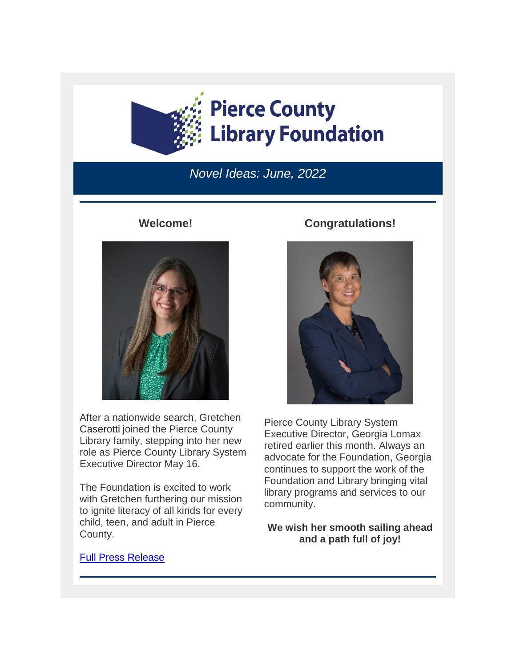

## *Novel Ideas: June, 2022*

### **Welcome!**



After a nationwide search, Gretchen Caserotti joined the Pierce County Library family, stepping into her new role as Pierce County Library System Executive Director May 16.

The Foundation is excited to work with Gretchen furthering our mission to ignite literacy of all kinds for every child, teen, and adult in Pierce County.

#### **Congratulations!**



Pierce County Library System Executive Director, Georgia Lomax retired earlier this month. Always an advocate for the Foundation, Georgia continues to support the work of the Foundation and Library bringing vital library programs and services to our community.

**We wish her smooth sailing ahead and a path full of joy!**

#### [Full Press Release](https://eml-pusa01.app.blackbaud.net/intv2/j/4F6A6861-2848-4938-ABC3-8247BCB85D3A/r/4F6A6861-2848-4938-ABC3-8247BCB85D3A_08343b61-244b-4020-bbc2-63b95f941dfe/l/2C80570C-6DF8-4802-9D95-B037FB9D4622/c)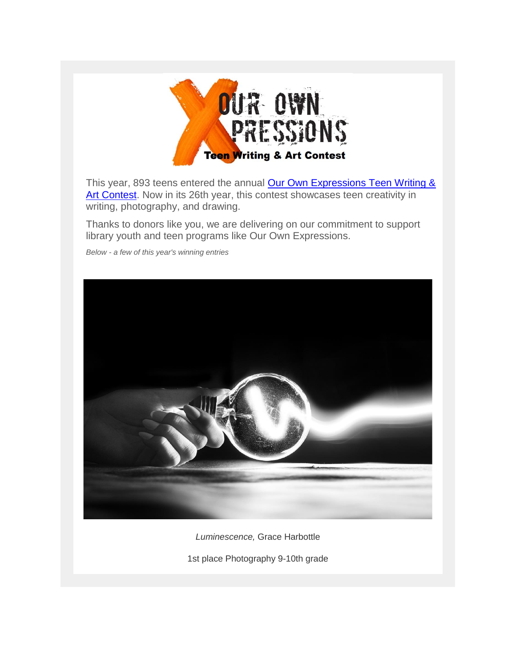

This year, 893 teens entered the annual Our Own Expressions Teen Writing & [Art Contest.](https://eml-pusa01.app.blackbaud.net/intv2/j/4F6A6861-2848-4938-ABC3-8247BCB85D3A/r/4F6A6861-2848-4938-ABC3-8247BCB85D3A_08343b61-244b-4020-bbc2-63b95f941dfe/l/B9A0F1CF-2B94-41EC-9BE9-4BD6EE3B3E69/c) Now in its 26th year, this contest showcases teen creativity in writing, photography, and drawing.

Thanks to donors like you, we are delivering on our commitment to support library youth and teen programs like Our Own Expressions.

*Below - a few of this year's winning entries*



*Luminescence,* Grace Harbottle

1st place Photography 9-10th grade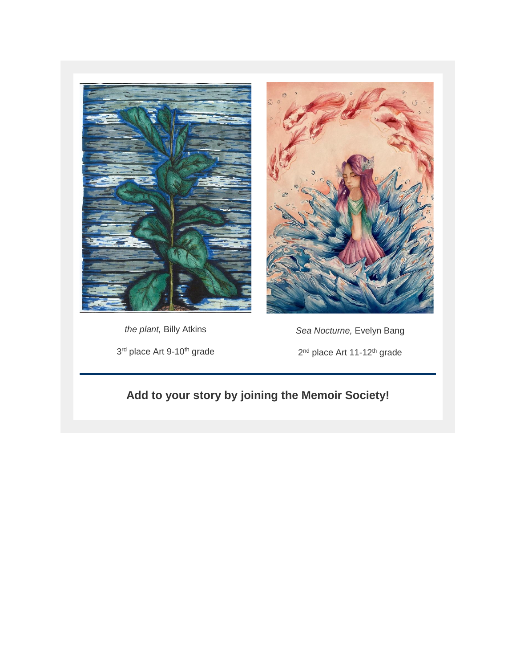



*the plant,* Billy Atkins 3<sup>rd</sup> place Art 9-10<sup>th</sup> grade

*Sea Nocturne,* Evelyn Bang 2<sup>nd</sup> place Art 11-12<sup>th</sup> grade

# **Add to your story by joining the Memoir Society!**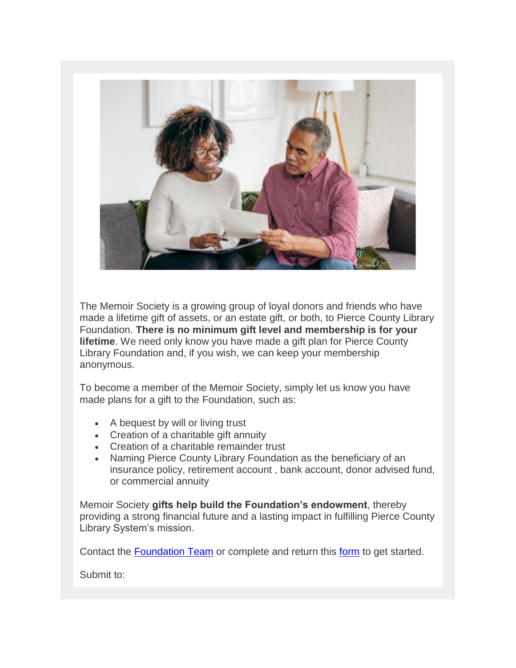

The Memoir Society is a growing group of loyal donors and friends who have made a lifetime gift of assets, or an estate gift, or both, to Pierce County Library Foundation. **There is no minimum gift level and membership is for your lifetime**. We need only know you have made a gift plan for Pierce County Library Foundation and, if you wish, we can keep your membership anonymous.

To become a member of the Memoir Society, simply let us know you have made plans for a gift to the Foundation, such as:

- A bequest by will or living trust
- Creation of a charitable gift annuity
- Creation of a charitable remainder trust
- Naming Pierce County Library Foundation as the beneficiary of an insurance policy, retirement account , bank account, donor advised fund, or commercial annuity

Memoir Society **gifts help build the Foundation's endowment**, thereby providing a strong financial future and a lasting impact in fulfilling Pierce County Library System's mission.

Contact the [Foundation Team](mailto:foundation@piercecountylibrary.org?subject=Memoir%20Society) or complete and return this [form](https://eml-pusa01.app.blackbaud.net/intv2/j/4F6A6861-2848-4938-ABC3-8247BCB85D3A/r/4F6A6861-2848-4938-ABC3-8247BCB85D3A_08343b61-244b-4020-bbc2-63b95f941dfe/l/32464D42-4FB7-4D85-BBA5-921E0F118878/c) to get started.

Submit to: